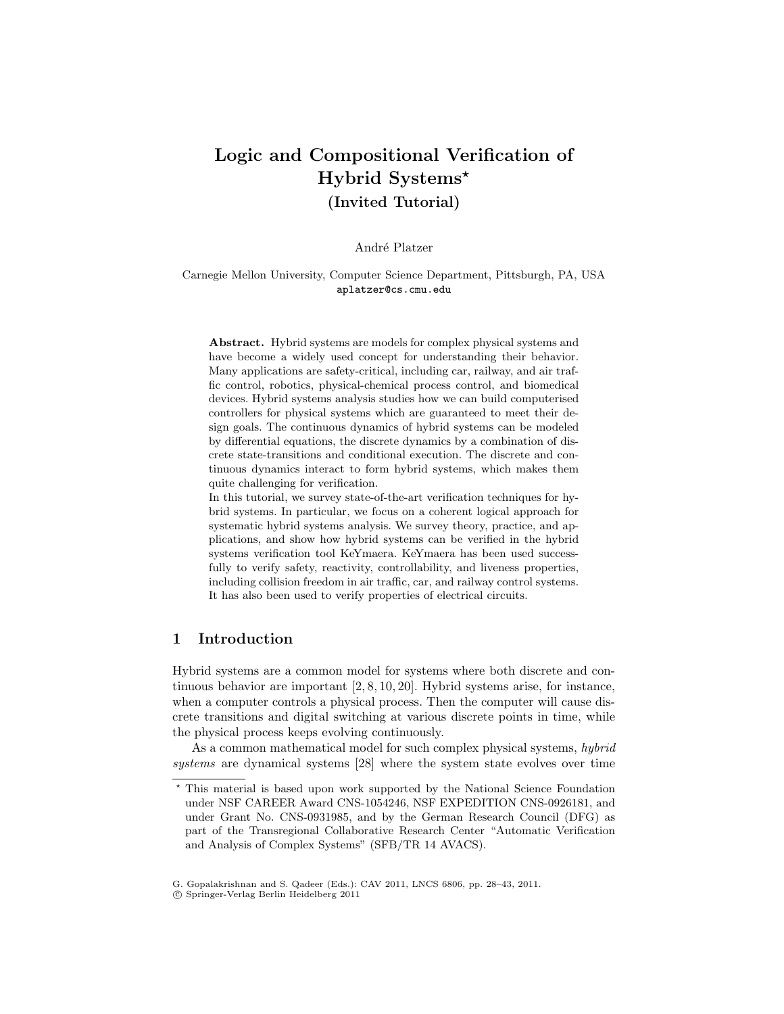# Logic and Compositional Verification of Hybrid Systems? (Invited Tutorial)

André Platzer

## Carnegie Mellon University, Computer Science Department, Pittsburgh, PA, USA aplatzer@cs.cmu.edu

Abstract. Hybrid systems are models for complex physical systems and have become a widely used concept for understanding their behavior. Many applications are safety-critical, including car, railway, and air traffic control, robotics, physical-chemical process control, and biomedical devices. Hybrid systems analysis studies how we can build computerised controllers for physical systems which are guaranteed to meet their design goals. The continuous dynamics of hybrid systems can be modeled by differential equations, the discrete dynamics by a combination of discrete state-transitions and conditional execution. The discrete and continuous dynamics interact to form hybrid systems, which makes them quite challenging for verification.

In this tutorial, we survey state-of-the-art verification techniques for hybrid systems. In particular, we focus on a coherent logical approach for systematic hybrid systems analysis. We survey theory, practice, and applications, and show how hybrid systems can be verified in the hybrid systems verification tool KeYmaera. KeYmaera has been used successfully to verify safety, reactivity, controllability, and liveness properties, including collision freedom in air traffic, car, and railway control systems. It has also been used to verify properties of electrical circuits.

# 1 Introduction

Hybrid systems are a common model for systems where both discrete and continuous behavior are important [2, 8, 10, 20]. Hybrid systems arise, for instance, when a computer controls a physical process. Then the computer will cause discrete transitions and digital switching at various discrete points in time, while the physical process keeps evolving continuously.

As a common mathematical model for such complex physical systems, hybrid systems are dynamical systems [28] where the system state evolves over time

<sup>?</sup> This material is based upon work supported by the National Science Foundation under NSF CAREER Award CNS-1054246, NSF EXPEDITION CNS-0926181, and under Grant No. CNS-0931985, and by the German Research Council (DFG) as part of the Transregional Collaborative Research Center "Automatic Verification and Analysis of Complex Systems" (SFB/TR 14 AVACS).

G. Gopalakrishnan and S. Qadeer (Eds.): CAV 2011, LNCS 6806, pp. 28–43, 2011.

c Springer-Verlag Berlin Heidelberg 2011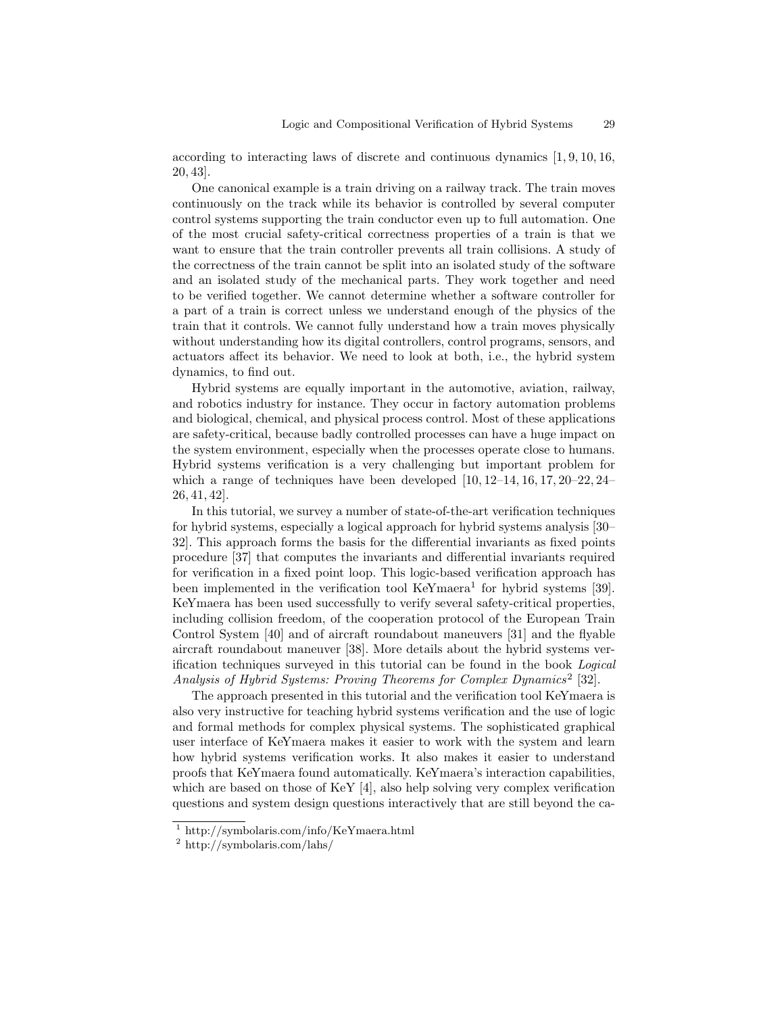according to interacting laws of discrete and continuous dynamics [1, 9, 10, 16, 20, 43].

One canonical example is a train driving on a railway track. The train moves continuously on the track while its behavior is controlled by several computer control systems supporting the train conductor even up to full automation. One of the most crucial safety-critical correctness properties of a train is that we want to ensure that the train controller prevents all train collisions. A study of the correctness of the train cannot be split into an isolated study of the software and an isolated study of the mechanical parts. They work together and need to be verified together. We cannot determine whether a software controller for a part of a train is correct unless we understand enough of the physics of the train that it controls. We cannot fully understand how a train moves physically without understanding how its digital controllers, control programs, sensors, and actuators affect its behavior. We need to look at both, i.e., the hybrid system dynamics, to find out.

Hybrid systems are equally important in the automotive, aviation, railway, and robotics industry for instance. They occur in factory automation problems and biological, chemical, and physical process control. Most of these applications are safety-critical, because badly controlled processes can have a huge impact on the system environment, especially when the processes operate close to humans. Hybrid systems verification is a very challenging but important problem for which a range of techniques have been developed [10, 12–14, 16, 17, 20–22, 24– 26, 41, 42].

In this tutorial, we survey a number of state-of-the-art verification techniques for hybrid systems, especially a logical approach for hybrid systems analysis [30– 32]. This approach forms the basis for the differential invariants as fixed points procedure [37] that computes the invariants and differential invariants required for verification in a fixed point loop. This logic-based verification approach has been implemented in the verification tool  $KeY$ maera<sup>1</sup> for hybrid systems [39]. KeYmaera has been used successfully to verify several safety-critical properties, including collision freedom, of the cooperation protocol of the European Train Control System [40] and of aircraft roundabout maneuvers [31] and the flyable aircraft roundabout maneuver [38]. More details about the hybrid systems verification techniques surveyed in this tutorial can be found in the book Logical Analysis of Hybrid Systems: Proving Theorems for Complex Dynamics<sup>2</sup> [32].

The approach presented in this tutorial and the verification tool KeYmaera is also very instructive for teaching hybrid systems verification and the use of logic and formal methods for complex physical systems. The sophisticated graphical user interface of KeYmaera makes it easier to work with the system and learn how hybrid systems verification works. It also makes it easier to understand proofs that KeYmaera found automatically. KeYmaera's interaction capabilities, which are based on those of KeY [4], also help solving very complex verification questions and system design questions interactively that are still beyond the ca-

<sup>1</sup> http://symbolaris.com/info/KeYmaera.html

<sup>2</sup> http://symbolaris.com/lahs/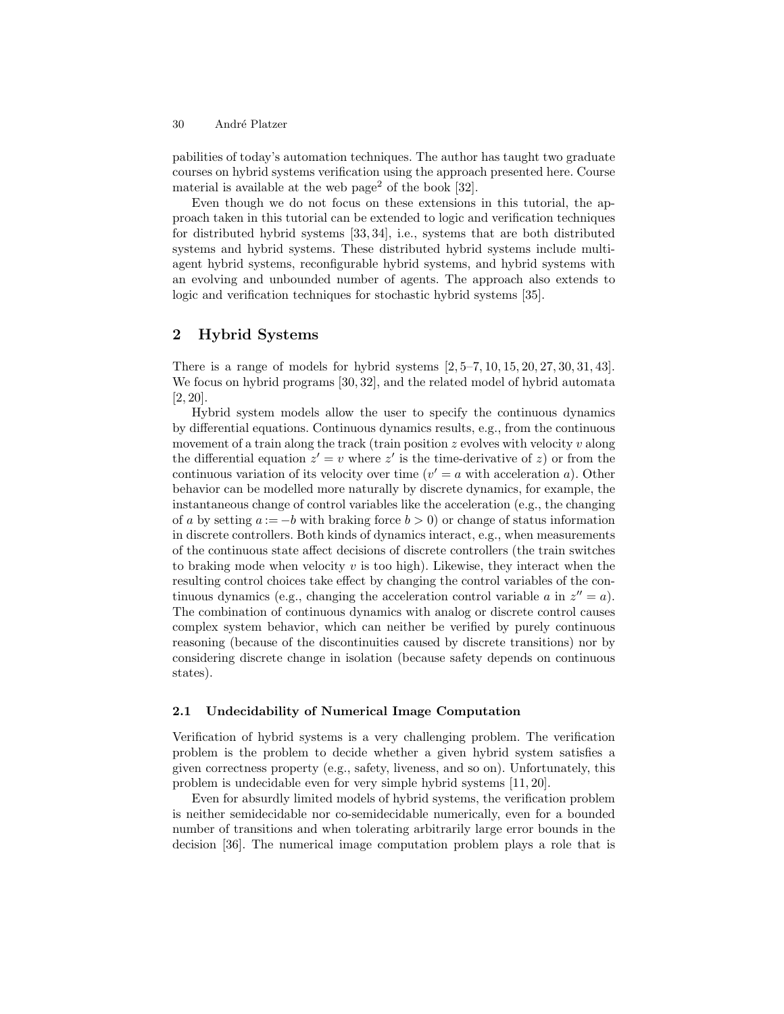pabilities of today's automation techniques. The author has taught two graduate courses on hybrid systems verification using the approach presented here. Course material is available at the web page<sup>2</sup> of the book  $[32]$ .

Even though we do not focus on these extensions in this tutorial, the approach taken in this tutorial can be extended to logic and verification techniques for distributed hybrid systems [33, 34], i.e., systems that are both distributed systems and hybrid systems. These distributed hybrid systems include multiagent hybrid systems, reconfigurable hybrid systems, and hybrid systems with an evolving and unbounded number of agents. The approach also extends to logic and verification techniques for stochastic hybrid systems [35].

# 2 Hybrid Systems

There is a range of models for hybrid systems [2, 5–7, 10, 15, 20, 27, 30, 31, 43]. We focus on hybrid programs [30, 32], and the related model of hybrid automata [2, 20].

Hybrid system models allow the user to specify the continuous dynamics by differential equations. Continuous dynamics results, e.g., from the continuous movement of a train along the track (train position  $z$  evolves with velocity  $v$  along the differential equation  $z' = v$  where  $z'$  is the time-derivative of z) or from the continuous variation of its velocity over time  $(v' = a$  with acceleration a). Other behavior can be modelled more naturally by discrete dynamics, for example, the instantaneous change of control variables like the acceleration (e.g., the changing of a by setting  $a := -b$  with braking force  $b > 0$  or change of status information in discrete controllers. Both kinds of dynamics interact, e.g., when measurements of the continuous state affect decisions of discrete controllers (the train switches to braking mode when velocity  $v$  is too high). Likewise, they interact when the resulting control choices take effect by changing the control variables of the continuous dynamics (e.g., changing the acceleration control variable a in  $z'' = a$ ). The combination of continuous dynamics with analog or discrete control causes complex system behavior, which can neither be verified by purely continuous reasoning (because of the discontinuities caused by discrete transitions) nor by considering discrete change in isolation (because safety depends on continuous states).

## 2.1 Undecidability of Numerical Image Computation

Verification of hybrid systems is a very challenging problem. The verification problem is the problem to decide whether a given hybrid system satisfies a given correctness property (e.g., safety, liveness, and so on). Unfortunately, this problem is undecidable even for very simple hybrid systems [11, 20].

Even for absurdly limited models of hybrid systems, the verification problem is neither semidecidable nor co-semidecidable numerically, even for a bounded number of transitions and when tolerating arbitrarily large error bounds in the decision [36]. The numerical image computation problem plays a role that is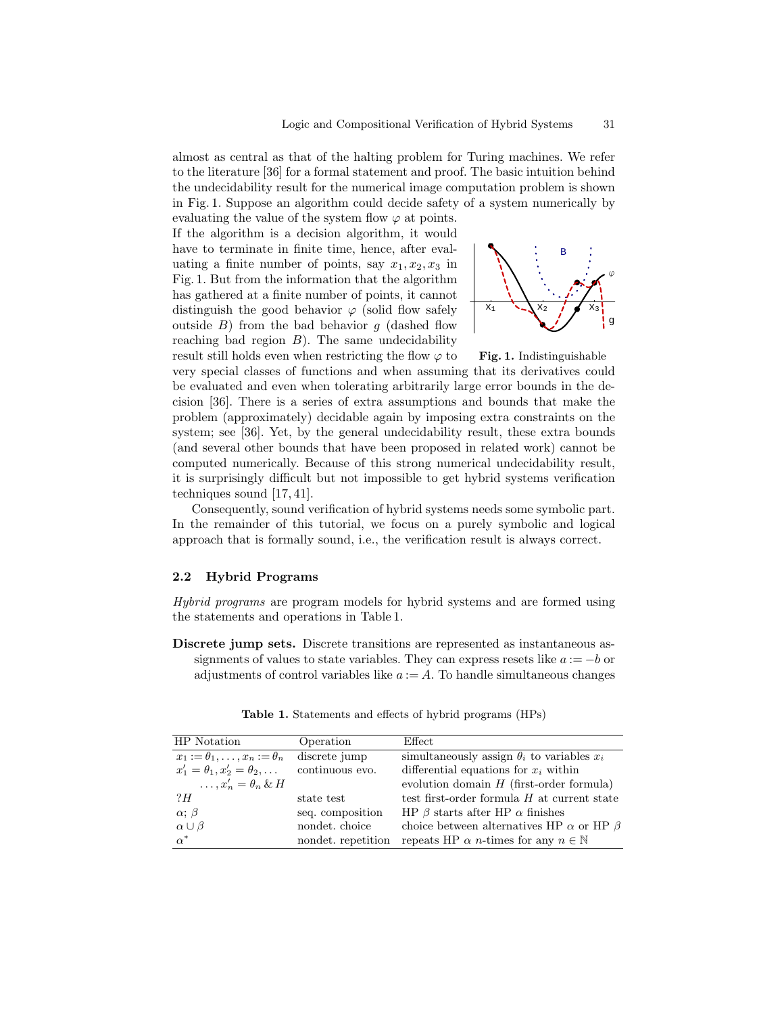almost as central as that of the halting problem for Turing machines. We refer to the literature [36] for a formal statement and proof. The basic intuition behind the undecidability result for the numerical image computation problem is shown in Fig. 1. Suppose an algorithm could decide safety of a system numerically by

evaluating the value of the system flow  $\varphi$  at points. If the algorithm is a decision algorithm, it would have to terminate in finite time, hence, after evaluating a finite number of points, say  $x_1, x_2, x_3$  in Fig. 1. But from the information that the algorithm has gathered at a finite number of points, it cannot distinguish the good behavior  $\varphi$  (solid flow safely outside  $B$ ) from the bad behavior q (dashed flow reaching bad region  $B$ ). The same undecidability result still holds even when restricting the flow  $\varphi$  to



Fig. 1. Indistinguishable

very special classes of functions and when assuming that its derivatives could be evaluated and even when tolerating arbitrarily large error bounds in the decision [36]. There is a series of extra assumptions and bounds that make the problem (approximately) decidable again by imposing extra constraints on the system; see [36]. Yet, by the general undecidability result, these extra bounds (and several other bounds that have been proposed in related work) cannot be computed numerically. Because of this strong numerical undecidability result, it is surprisingly difficult but not impossible to get hybrid systems verification techniques sound [17, 41].

Consequently, sound verification of hybrid systems needs some symbolic part. In the remainder of this tutorial, we focus on a purely symbolic and logical approach that is formally sound, i.e., the verification result is always correct.

## 2.2 Hybrid Programs

Hybrid programs are program models for hybrid systems and are formed using the statements and operations in Table 1.

Discrete jump sets. Discrete transitions are represented as instantaneous assignments of values to state variables. They can express resets like  $a := -b$  or adjustments of control variables like  $a := A$ . To handle simultaneous changes

| HP Notation                                | Operation          | $E$ ffect                                                      |
|--------------------------------------------|--------------------|----------------------------------------------------------------|
| $x_1 := \theta_1, \ldots, x_n := \theta_n$ | discrete jump      | simultaneously assign $\theta_i$ to variables $x_i$            |
| $x'_1 = \theta_1, x'_2 = \theta_2, \ldots$ | continuous evo.    | differential equations for $x_i$ within                        |
| $\ldots$ , $x'_n = \theta_n \& H$          |                    | evolution domain $H$ (first-order formula)                     |
| ?H                                         | state test         | test first-order formula $H$ at current state                  |
| $\alpha$ ; $\beta$                         | seq. composition   | HP $\beta$ starts after HP $\alpha$ finishes                   |
| $\alpha \cup \beta$                        | nondet. choice     | choice between alternatives HP $\alpha$ or HP $\beta$          |
| $\alpha^*$                                 | nondet. repetition | repeats HP $\alpha$ <i>n</i> -times for any $n \in \mathbb{N}$ |

Table 1. Statements and effects of hybrid programs (HPs)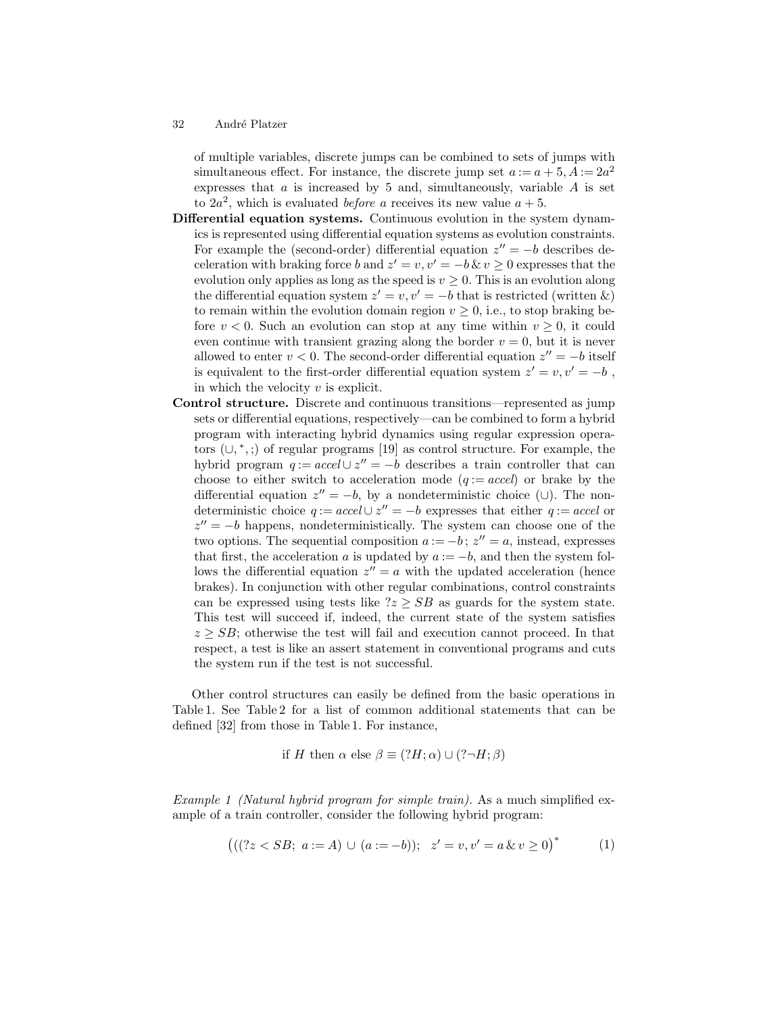of multiple variables, discrete jumps can be combined to sets of jumps with simultaneous effect. For instance, the discrete jump set  $a := a + 5$ ,  $A := 2a^2$ expresses that  $\alpha$  is increased by 5 and, simultaneously, variable  $\Lambda$  is set to  $2a^2$ , which is evaluated *before a* receives its new value  $a + 5$ .

- Differential equation systems. Continuous evolution in the system dynamics is represented using differential equation systems as evolution constraints. For example the (second-order) differential equation  $z'' = -b$  describes deceleration with braking force b and  $z' = v, v' = -b \& v \geq 0$  expresses that the evolution only applies as long as the speed is  $v \geq 0$ . This is an evolution along the differential equation system  $z' = v, v' = -b$  that is restricted (written  $\&$ ) to remain within the evolution domain region  $v \geq 0$ , i.e., to stop braking before  $v < 0$ . Such an evolution can stop at any time within  $v > 0$ , it could even continue with transient grazing along the border  $v = 0$ , but it is never allowed to enter  $v < 0$ . The second-order differential equation  $z'' = -b$  itself is equivalent to the first-order differential equation system  $z' = v, v' = -b$ , in which the velocity  $v$  is explicit.
- Control structure. Discrete and continuous transitions—represented as jump sets or differential equations, respectively—can be combined to form a hybrid program with interacting hybrid dynamics using regular expression operators (∪, ∗ , ;) of regular programs [19] as control structure. For example, the hybrid program  $q := accel \cup z'' = -b$  describes a train controller that can choose to either switch to acceleration mode  $(q := accel)$  or brake by the differential equation  $z'' = -b$ , by a nondeterministic choice (∪). The nondeterministic choice  $q := accel \cup z'' = -b$  expresses that either  $q := accel$  or  $z'' = -b$  happens, nondeterministically. The system can choose one of the two options. The sequential composition  $a := -b$ ;  $z'' = a$ , instead, expresses that first, the acceleration a is updated by  $a := -b$ , and then the system follows the differential equation  $z'' = a$  with the updated acceleration (hence brakes). In conjunction with other regular combinations, control constraints can be expressed using tests like  $?z \geq SB$  as guards for the system state. This test will succeed if, indeed, the current state of the system satisfies  $z \geq SB$ ; otherwise the test will fail and execution cannot proceed. In that respect, a test is like an assert statement in conventional programs and cuts the system run if the test is not successful.

Other control structures can easily be defined from the basic operations in Table 1. See Table 2 for a list of common additional statements that can be defined [32] from those in Table 1. For instance,

if H then 
$$
\alpha
$$
 else  $\beta \equiv (?H; \alpha) \cup (? \neg H; \beta)$ 

Example 1 (Natural hybrid program for simple train). As a much simplified example of a train controller, consider the following hybrid program:

$$
(((?z < SB; a := A) \cup (a := -b)); z' = v, v' = a \& v \ge 0)^*
$$
 (1)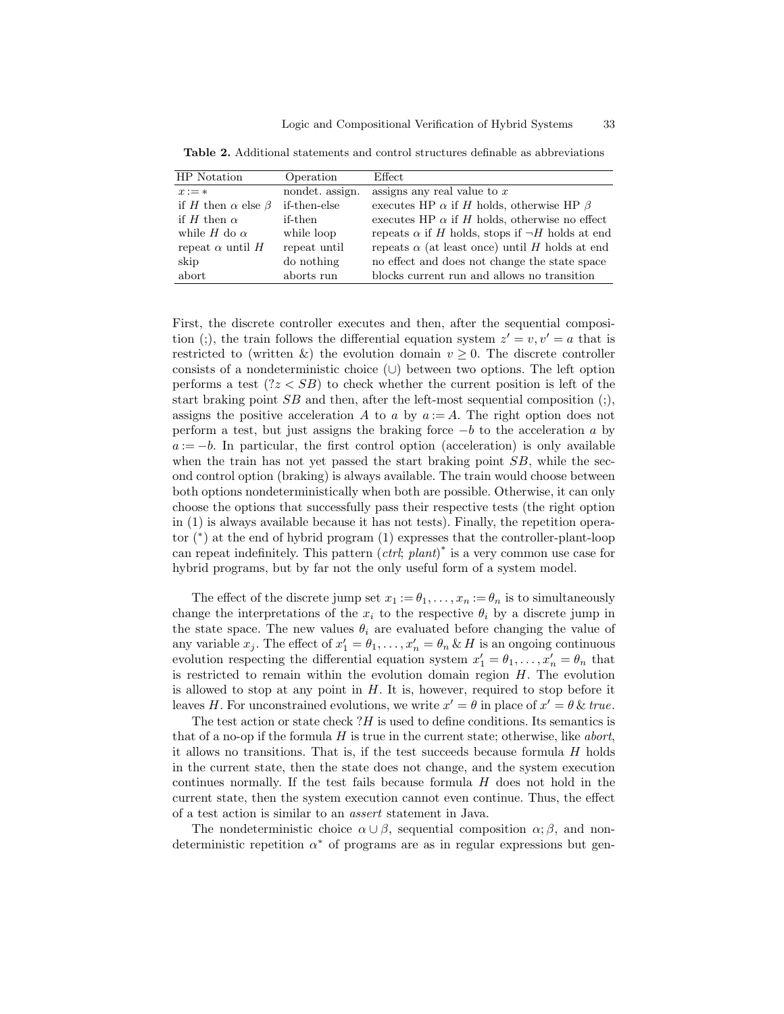| HP Notation                     | Operation       | Effect                                                      |
|---------------------------------|-----------------|-------------------------------------------------------------|
| $x := *$                        | nondet. assign. | assigns any real value to $x$                               |
| if H then $\alpha$ else $\beta$ | if-then-else    | executes HP $\alpha$ if H holds, otherwise HP $\beta$       |
| if H then $\alpha$              | if-then         | executes HP $\alpha$ if H holds, otherwise no effect        |
| while H do $\alpha$             | while loop      | repeats $\alpha$ if H holds, stops if $\neg H$ holds at end |
| repeat $\alpha$ until H         | repeat until    | repeats $\alpha$ (at least once) until H holds at end       |
| skip                            | do nothing      | no effect and does not change the state space               |
| abort                           | aborts run      | blocks current run and allows no transition                 |

Table 2. Additional statements and control structures definable as abbreviations

First, the discrete controller executes and then, after the sequential composition (;), the train follows the differential equation system  $z' = v, v' = a$  that is restricted to (written &) the evolution domain  $v > 0$ . The discrete controller consists of a nondeterministic choice (∪) between two options. The left option performs a test  $(2z < SB)$  to check whether the current position is left of the start braking point  $SB$  and then, after the left-most sequential composition  $($ ;), assigns the positive acceleration A to a by  $a := A$ . The right option does not perform a test, but just assigns the braking force  $-b$  to the acceleration a by  $a := -b$ . In particular, the first control option (acceleration) is only available when the train has not yet passed the start braking point  $SB$ , while the second control option (braking) is always available. The train would choose between both options nondeterministically when both are possible. Otherwise, it can only choose the options that successfully pass their respective tests (the right option in (1) is always available because it has not tests). Finally, the repetition operator (<sup>∗</sup> ) at the end of hybrid program (1) expresses that the controller-plant-loop can repeat indefinitely. This pattern  $(ctrl; plant)^*$  is a very common use case for hybrid programs, but by far not the only useful form of a system model.

The effect of the discrete jump set  $x_1 := \theta_1, \ldots, x_n := \theta_n$  is to simultaneously change the interpretations of the  $x_i$  to the respective  $\theta_i$  by a discrete jump in the state space. The new values  $\theta_i$  are evaluated before changing the value of any variable  $x_j$ . The effect of  $x'_1 = \theta_1, \ldots, x'_n = \theta_n \& H$  is an ongoing continuous evolution respecting the differential equation system  $x'_1 = \theta_1, \ldots, x'_n = \theta_n$  that is restricted to remain within the evolution domain region  $H$ . The evolution is allowed to stop at any point in  $H$ . It is, however, required to stop before it leaves H. For unconstrained evolutions, we write  $x' = \theta$  in place of  $x' = \theta$  & true.

The test action or state check  $H$  is used to define conditions. Its semantics is that of a no-op if the formula  $H$  is true in the current state; otherwise, like abort, it allows no transitions. That is, if the test succeeds because formula  $H$  holds in the current state, then the state does not change, and the system execution continues normally. If the test fails because formula H does not hold in the current state, then the system execution cannot even continue. Thus, the effect of a test action is similar to an assert statement in Java.

The nondeterministic choice  $\alpha \cup \beta$ , sequential composition  $\alpha$ ;  $\beta$ , and nondeterministic repetition  $\alpha^*$  of programs are as in regular expressions but gen-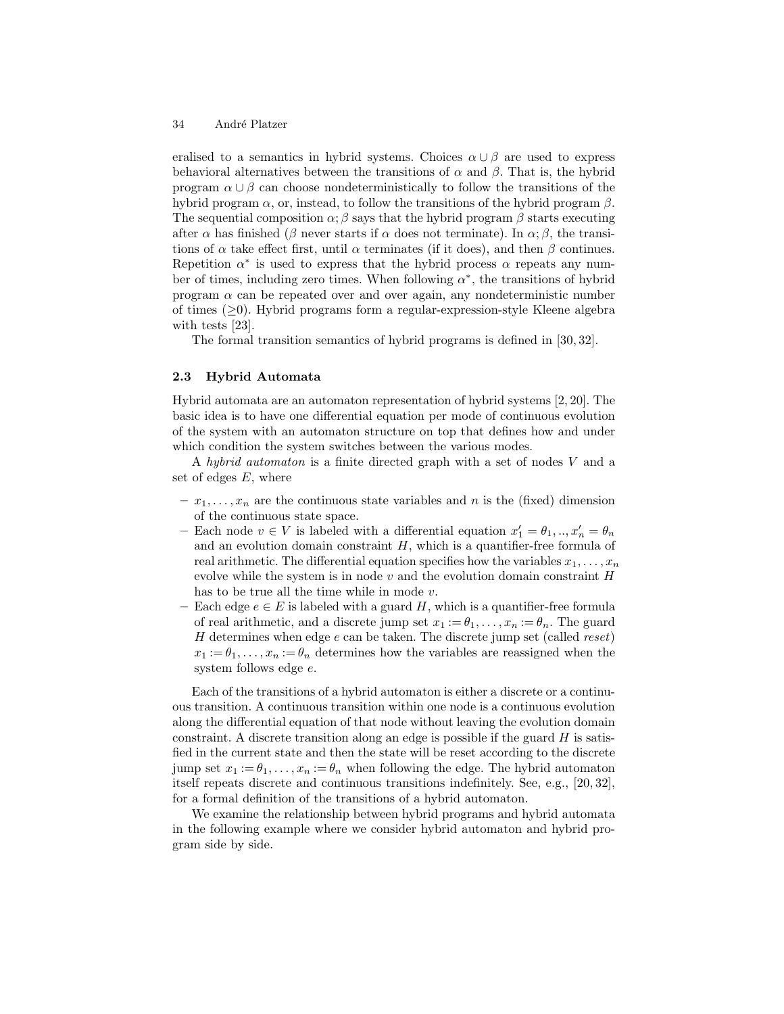eralised to a semantics in hybrid systems. Choices  $\alpha \cup \beta$  are used to express behavioral alternatives between the transitions of  $\alpha$  and  $\beta$ . That is, the hybrid program  $\alpha \cup \beta$  can choose nondeterministically to follow the transitions of the hybrid program  $\alpha$ , or, instead, to follow the transitions of the hybrid program  $\beta$ . The sequential composition  $\alpha$ ;  $\beta$  says that the hybrid program  $\beta$  starts executing after  $\alpha$  has finished ( $\beta$  never starts if  $\alpha$  does not terminate). In  $\alpha$ ;  $\beta$ , the transitions of  $\alpha$  take effect first, until  $\alpha$  terminates (if it does), and then  $\beta$  continues. Repetition  $\alpha^*$  is used to express that the hybrid process  $\alpha$  repeats any number of times, including zero times. When following  $\alpha^*$ , the transitions of hybrid program  $\alpha$  can be repeated over and over again, any nondeterministic number of times  $(\geq 0)$ . Hybrid programs form a regular-expression-style Kleene algebra with tests [23].

The formal transition semantics of hybrid programs is defined in [30, 32].

## 2.3 Hybrid Automata

Hybrid automata are an automaton representation of hybrid systems [2, 20]. The basic idea is to have one differential equation per mode of continuous evolution of the system with an automaton structure on top that defines how and under which condition the system switches between the various modes.

A hybrid automaton is a finite directed graph with a set of nodes V and a set of edges  $E$ , where

- $-x_1, \ldots, x_n$  are the continuous state variables and n is the (fixed) dimension of the continuous state space.
- Each node  $v \in V$  is labeled with a differential equation  $x'_1 = \theta_1, \dots, x'_n = \theta_n$ and an evolution domain constraint  $H$ , which is a quantifier-free formula of real arithmetic. The differential equation specifies how the variables  $x_1, \ldots, x_n$ evolve while the system is in node  $v$  and the evolution domain constraint  $H$ has to be true all the time while in mode  $v$ .
- Each edge  $e \in E$  is labeled with a guard H, which is a quantifier-free formula of real arithmetic, and a discrete jump set  $x_1 := \theta_1, \ldots, x_n := \theta_n$ . The guard H determines when edge  $e$  can be taken. The discrete jump set (called reset)  $x_1 := \theta_1, \ldots, x_n := \theta_n$  determines how the variables are reassigned when the system follows edge e.

Each of the transitions of a hybrid automaton is either a discrete or a continuous transition. A continuous transition within one node is a continuous evolution along the differential equation of that node without leaving the evolution domain constraint. A discrete transition along an edge is possible if the guard  $H$  is satisfied in the current state and then the state will be reset according to the discrete jump set  $x_1 := \theta_1, \ldots, x_n := \theta_n$  when following the edge. The hybrid automaton itself repeats discrete and continuous transitions indefinitely. See, e.g., [20, 32], for a formal definition of the transitions of a hybrid automaton.

We examine the relationship between hybrid programs and hybrid automata in the following example where we consider hybrid automaton and hybrid program side by side.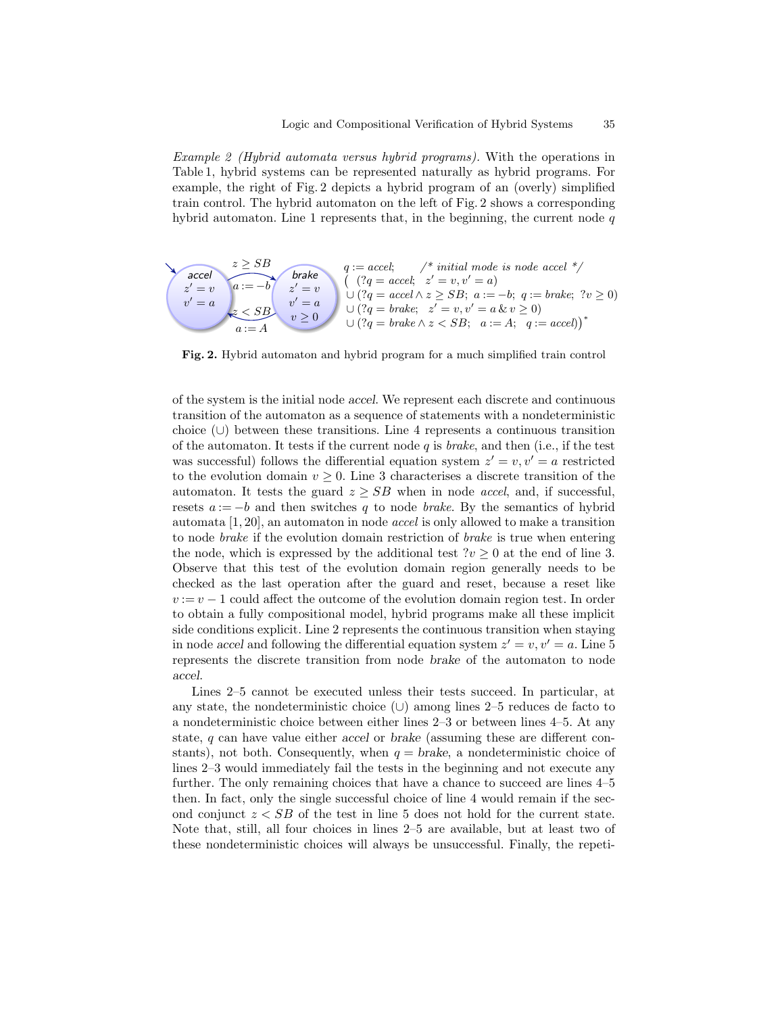Example 2 (Hybrid automata versus hybrid programs). With the operations in Table 1, hybrid systems can be represented naturally as hybrid programs. For example, the right of Fig. 2 depicts a hybrid program of an (overly) simplified train control. The hybrid automaton on the left of Fig. 2 shows a corresponding hybrid automaton. Line 1 represents that, in the beginning, the current node  $q$ 



Fig. 2. Hybrid automaton and hybrid program for a much simplified train control

of the system is the initial node accel. We represent each discrete and continuous transition of the automaton as a sequence of statements with a nondeterministic choice (∪) between these transitions. Line 4 represents a continuous transition of the automaton. It tests if the current node  $q$  is *brake*, and then (i.e., if the test was successful) follows the differential equation system  $z' = v, v' = a$  restricted to the evolution domain  $v \geq 0$ . Line 3 characterises a discrete transition of the automaton. It tests the guard  $z \geq SB$  when in node *accel*, and, if successful, resets  $a := -b$  and then switches q to node brake. By the semantics of hybrid automata [1, 20], an automaton in node accel is only allowed to make a transition to node brake if the evolution domain restriction of brake is true when entering the node, which is expressed by the additional test  $?v \geq 0$  at the end of line 3. Observe that this test of the evolution domain region generally needs to be checked as the last operation after the guard and reset, because a reset like  $v := v - 1$  could affect the outcome of the evolution domain region test. In order to obtain a fully compositional model, hybrid programs make all these implicit side conditions explicit. Line 2 represents the continuous transition when staying in node accel and following the differential equation system  $z' = v, v' = a$ . Line 5 represents the discrete transition from node brake of the automaton to node accel.

Lines 2–5 cannot be executed unless their tests succeed. In particular, at any state, the nondeterministic choice  $(\cup)$  among lines 2–5 reduces de facto to a nondeterministic choice between either lines 2–3 or between lines 4–5. At any state, q can have value either accel or brake (assuming these are different constants), not both. Consequently, when  $q =$  brake, a nondeterministic choice of lines 2–3 would immediately fail the tests in the beginning and not execute any further. The only remaining choices that have a chance to succeed are lines 4–5 then. In fact, only the single successful choice of line 4 would remain if the second conjunct  $z < SB$  of the test in line 5 does not hold for the current state. Note that, still, all four choices in lines 2–5 are available, but at least two of these nondeterministic choices will always be unsuccessful. Finally, the repeti-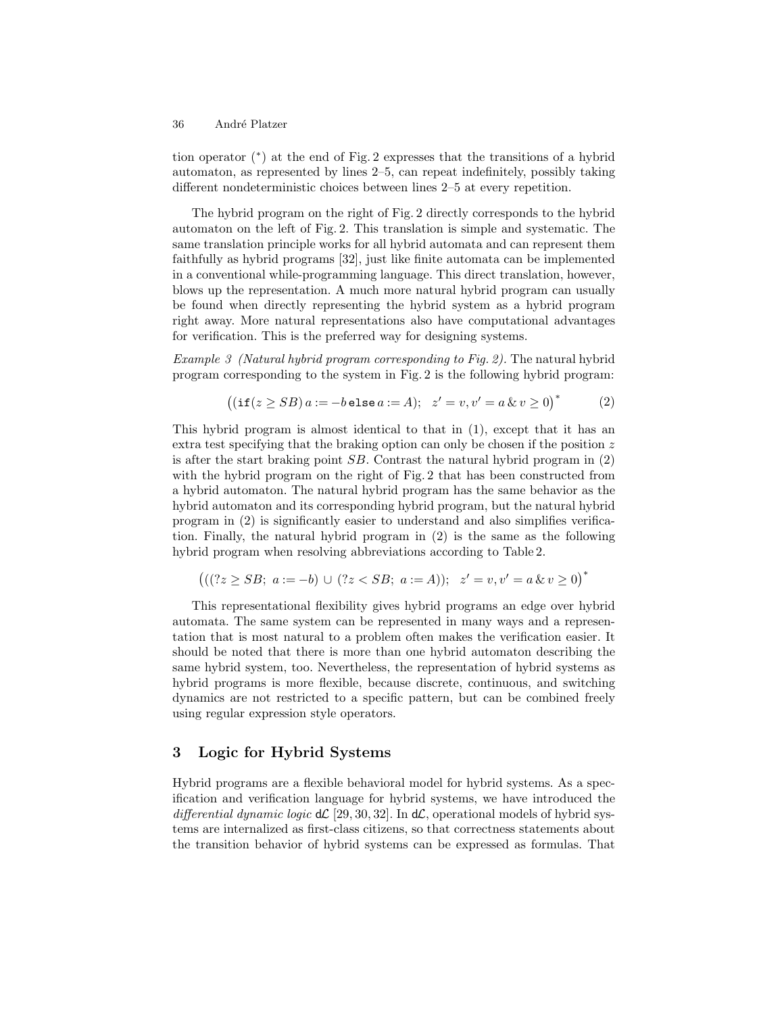tion operator (<sup>∗</sup> ) at the end of Fig. 2 expresses that the transitions of a hybrid automaton, as represented by lines 2–5, can repeat indefinitely, possibly taking different nondeterministic choices between lines 2–5 at every repetition.

The hybrid program on the right of Fig. 2 directly corresponds to the hybrid automaton on the left of Fig. 2. This translation is simple and systematic. The same translation principle works for all hybrid automata and can represent them faithfully as hybrid programs [32], just like finite automata can be implemented in a conventional while-programming language. This direct translation, however, blows up the representation. A much more natural hybrid program can usually be found when directly representing the hybrid system as a hybrid program right away. More natural representations also have computational advantages for verification. This is the preferred way for designing systems.

Example 3 (Natural hybrid program corresponding to Fig. 2). The natural hybrid program corresponding to the system in Fig. 2 is the following hybrid program:

$$
((\text{if}(z \ge SB) a := -b \text{ else } a := A); \ \ z' = v, v' = a \& v \ge 0)^{*} \tag{2}
$$

This hybrid program is almost identical to that in (1), except that it has an extra test specifying that the braking option can only be chosen if the position z is after the start braking point  $SB$ . Contrast the natural hybrid program in (2) with the hybrid program on the right of Fig. 2 that has been constructed from a hybrid automaton. The natural hybrid program has the same behavior as the hybrid automaton and its corresponding hybrid program, but the natural hybrid program in (2) is significantly easier to understand and also simplifies verification. Finally, the natural hybrid program in (2) is the same as the following hybrid program when resolving abbreviations according to Table 2.

$$
(((?z \ge SB; a := -b) \cup (?z < SB; a := A)); z' = v, v' = a \& v \ge 0)^*
$$

This representational flexibility gives hybrid programs an edge over hybrid automata. The same system can be represented in many ways and a representation that is most natural to a problem often makes the verification easier. It should be noted that there is more than one hybrid automaton describing the same hybrid system, too. Nevertheless, the representation of hybrid systems as hybrid programs is more flexible, because discrete, continuous, and switching dynamics are not restricted to a specific pattern, but can be combined freely using regular expression style operators.

## 3 Logic for Hybrid Systems

Hybrid programs are a flexible behavioral model for hybrid systems. As a specification and verification language for hybrid systems, we have introduced the differential dynamic logic  $d\mathcal{L}$  [29, 30, 32]. In  $d\mathcal{L}$ , operational models of hybrid systems are internalized as first-class citizens, so that correctness statements about the transition behavior of hybrid systems can be expressed as formulas. That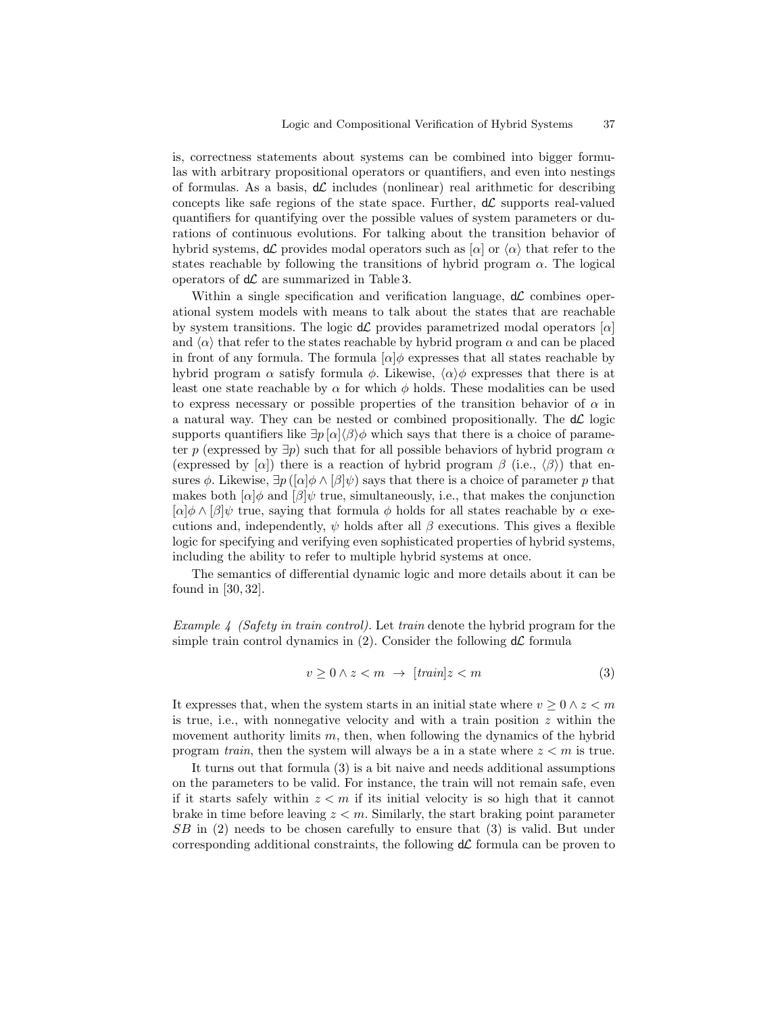is, correctness statements about systems can be combined into bigger formulas with arbitrary propositional operators or quantifiers, and even into nestings of formulas. As a basis,  $d\mathcal{L}$  includes (nonlinear) real arithmetic for describing concepts like safe regions of the state space. Further,  $d\mathcal{L}$  supports real-valued quantifiers for quantifying over the possible values of system parameters or durations of continuous evolutions. For talking about the transition behavior of hybrid systems,  $d\mathcal{L}$  provides modal operators such as  $[\alpha]$  or  $\langle \alpha \rangle$  that refer to the states reachable by following the transitions of hybrid program  $\alpha$ . The logical operators of  $d\mathcal{L}$  are summarized in Table 3.

Within a single specification and verification language,  $d\mathcal{L}$  combines operational system models with means to talk about the states that are reachable by system transitions. The logic  $d\mathcal{L}$  provides parametrized modal operators  $\alpha$ and  $\langle \alpha \rangle$  that refer to the states reachable by hybrid program  $\alpha$  and can be placed in front of any formula. The formula  $\alpha | \phi \rangle$  expresses that all states reachable by hybrid program  $\alpha$  satisfy formula  $\phi$ . Likewise,  $\langle \alpha \rangle \phi$  expresses that there is at least one state reachable by  $\alpha$  for which  $\phi$  holds. These modalities can be used to express necessary or possible properties of the transition behavior of  $\alpha$  in a natural way. They can be nested or combined propositionally. The  $d\mathcal{L}$  logic supports quantifiers like  $\exists p \,[\alpha]\langle\beta\rangle\phi$  which says that there is a choice of parameter p (expressed by  $\exists p$ ) such that for all possible behaviors of hybrid program  $\alpha$ (expressed by [α]) there is a reaction of hybrid program  $\beta$  (i.e.,  $\langle \beta \rangle$ ) that ensures  $\phi$ . Likewise,  $\exists p \left( [\alpha | \phi \wedge [\beta | \psi] \right)$  says that there is a choice of parameter p that makes both  $\alpha|\phi$  and  $\beta|\psi$  true, simultaneously, i.e., that makes the conjunction  $[\alpha]\phi \wedge [\beta]\psi$  true, saying that formula  $\phi$  holds for all states reachable by  $\alpha$  executions and, independently,  $\psi$  holds after all  $\beta$  executions. This gives a flexible logic for specifying and verifying even sophisticated properties of hybrid systems, including the ability to refer to multiple hybrid systems at once.

The semantics of differential dynamic logic and more details about it can be found in [30, 32].

Example 4 (Safety in train control). Let train denote the hybrid program for the simple train control dynamics in (2). Consider the following  $d\mathcal{L}$  formula

$$
v \ge 0 \land z < m \rightarrow [train]z < m \tag{3}
$$

It expresses that, when the system starts in an initial state where  $v \geq 0 \land z < m$ is true, i.e., with nonnegative velocity and with a train position  $z$  within the movement authority limits m, then, when following the dynamics of the hybrid program train, then the system will always be a in a state where  $z < m$  is true.

It turns out that formula (3) is a bit naive and needs additional assumptions on the parameters to be valid. For instance, the train will not remain safe, even if it starts safely within  $z < m$  if its initial velocity is so high that it cannot brake in time before leaving  $z < m$ . Similarly, the start braking point parameter SB in (2) needs to be chosen carefully to ensure that (3) is valid. But under corresponding additional constraints, the following  $d\mathcal{L}$  formula can be proven to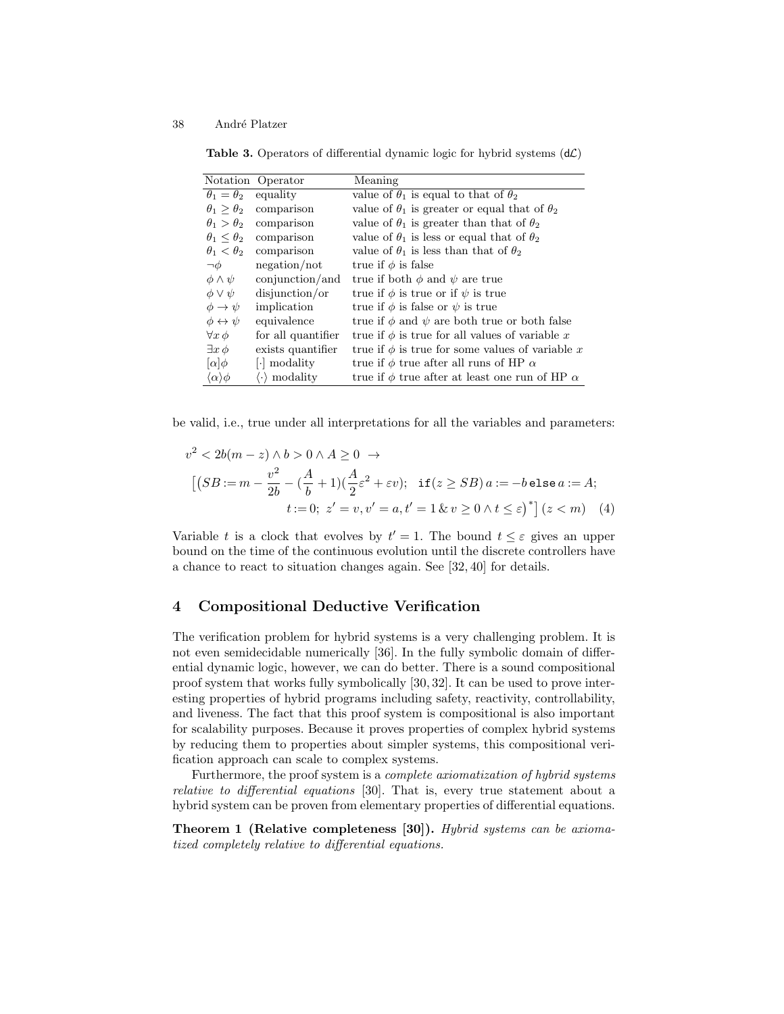Table 3. Operators of differential dynamic logic for hybrid systems  $(d\mathcal{L})$ 

|                               | Notation Operator              | Meaning                                                    |
|-------------------------------|--------------------------------|------------------------------------------------------------|
| $\theta_1=\theta_2$           | equality                       | value of $\theta_1$ is equal to that of $\theta_2$         |
| $\theta_1 > \theta_2$         | comparison                     | value of $\theta_1$ is greater or equal that of $\theta_2$ |
| $\theta_1 > \theta_2$         | comparison                     | value of $\theta_1$ is greater than that of $\theta_2$     |
| $\theta_1 < \theta_2$         | comparison                     | value of $\theta_1$ is less or equal that of $\theta_2$    |
| $\theta_1 < \theta_2$         | comparison                     | value of $\theta_1$ is less than that of $\theta_2$        |
| $\neg \phi$                   | negation/not                   | true if $\phi$ is false                                    |
| $\phi \wedge \psi$            | conjunction/and                | true if both $\phi$ and $\psi$ are true                    |
| $\phi \vee \psi$              | disjunction/or                 | true if $\phi$ is true or if $\psi$ is true                |
| $\phi \rightarrow \psi$       | implication                    | true if $\phi$ is false or $\psi$ is true                  |
| $\phi \leftrightarrow \psi$   | equivalence                    | true if $\phi$ and $\psi$ are both true or both false      |
| $\forall x \, \phi$           | for all quantifier             | true if $\phi$ is true for all values of variable x        |
| $\exists x \phi$              | exists quantifier              | true if $\phi$ is true for some values of variable x       |
| $[\alpha]\phi$                | $\lceil \cdot \rceil$ modality | true if $\phi$ true after all runs of HP $\alpha$          |
| $\langle \alpha \rangle \phi$ | modality                       | true if $\phi$ true after at least one run of HP $\alpha$  |

be valid, i.e., true under all interpretations for all the variables and parameters:

$$
v^2 < 2b(m-z) \land b > 0 \land A \ge 0 \rightarrow
$$
\n
$$
\left[ \left( SB := m - \frac{v^2}{2b} - \left( \frac{A}{b} + 1 \right) \left( \frac{A}{2} \varepsilon^2 + \varepsilon v \right); \text{ if } (z \ge SB) \ a := -b \text{ else } a := A; \right.
$$
\n
$$
t := 0; \ z' = v, v' = a, t' = 1 \ \& \ v \ge 0 \land t \le \varepsilon \right)^* \left[ \left( z < m \right) \quad (4) \right]
$$

Variable t is a clock that evolves by  $t' = 1$ . The bound  $t \leq \varepsilon$  gives an upper bound on the time of the continuous evolution until the discrete controllers have a chance to react to situation changes again. See [32, 40] for details.

## 4 Compositional Deductive Verification

The verification problem for hybrid systems is a very challenging problem. It is not even semidecidable numerically [36]. In the fully symbolic domain of differential dynamic logic, however, we can do better. There is a sound compositional proof system that works fully symbolically [30, 32]. It can be used to prove interesting properties of hybrid programs including safety, reactivity, controllability, and liveness. The fact that this proof system is compositional is also important for scalability purposes. Because it proves properties of complex hybrid systems by reducing them to properties about simpler systems, this compositional verification approach can scale to complex systems.

Furthermore, the proof system is a complete axiomatization of hybrid systems relative to differential equations [30]. That is, every true statement about a hybrid system can be proven from elementary properties of differential equations.

Theorem 1 (Relative completeness [30]). Hybrid systems can be axiomatized completely relative to differential equations.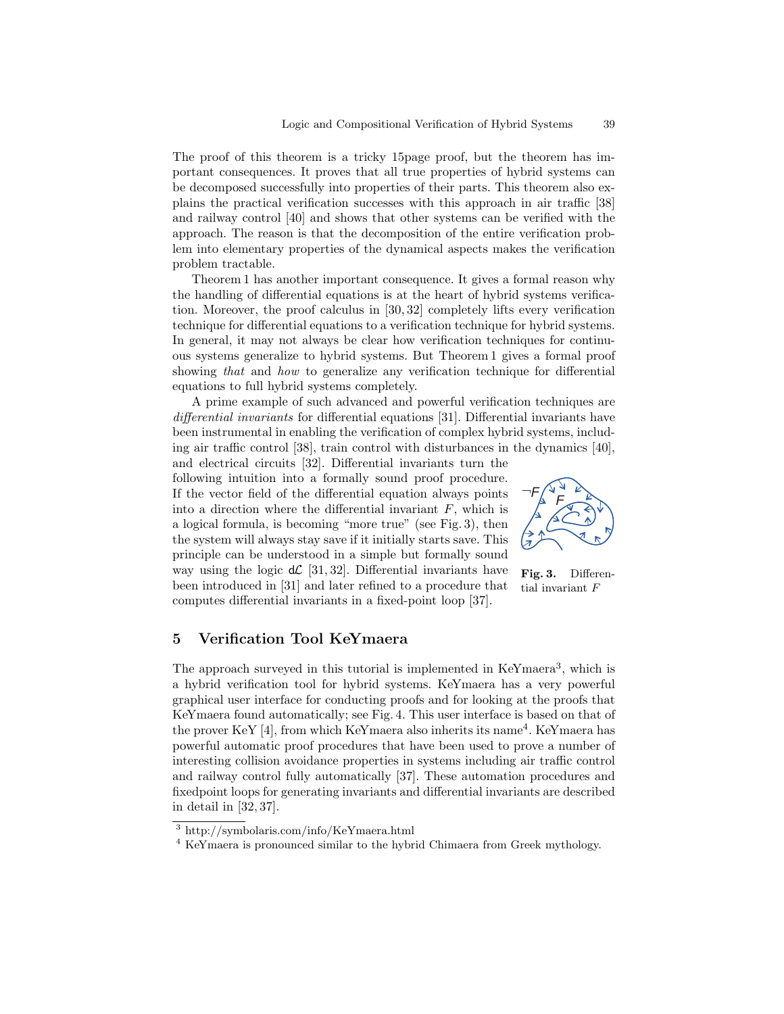The proof of this theorem is a tricky 15page proof, but the theorem has important consequences. It proves that all true properties of hybrid systems can be decomposed successfully into properties of their parts. This theorem also explains the practical verification successes with this approach in air traffic [38] and railway control [40] and shows that other systems can be verified with the approach. The reason is that the decomposition of the entire verification problem into elementary properties of the dynamical aspects makes the verification problem tractable.

Theorem 1 has another important consequence. It gives a formal reason why the handling of differential equations is at the heart of hybrid systems verification. Moreover, the proof calculus in [30, 32] completely lifts every verification technique for differential equations to a verification technique for hybrid systems. In general, it may not always be clear how verification techniques for continuous systems generalize to hybrid systems. But Theorem 1 gives a formal proof showing that and how to generalize any verification technique for differential equations to full hybrid systems completely.

A prime example of such advanced and powerful verification techniques are differential invariants for differential equations [31]. Differential invariants have been instrumental in enabling the verification of complex hybrid systems, including air traffic control [38], train control with disturbances in the dynamics [40],

and electrical circuits [32]. Differential invariants turn the following intuition into a formally sound proof procedure. If the vector field of the differential equation always points into a direction where the differential invariant  $F$ , which is a logical formula, is becoming "more true" (see Fig. 3), then the system will always stay save if it initially starts save. This principle can be understood in a simple but formally sound way using the logic  $d\mathcal{L}$  [31, 32]. Differential invariants have been introduced in [31] and later refined to a procedure that computes differential invariants in a fixed-point loop [37].



Fig. 3. Differential invariant F

## 5 Verification Tool KeYmaera

The approach surveyed in this tutorial is implemented in KeYmaera<sup>3</sup>, which is a hybrid verification tool for hybrid systems. KeYmaera has a very powerful graphical user interface for conducting proofs and for looking at the proofs that KeYmaera found automatically; see Fig. 4. This user interface is based on that of the prover KeY [4], from which KeYmaera also inherits its name<sup>4</sup>. KeYmaera has powerful automatic proof procedures that have been used to prove a number of interesting collision avoidance properties in systems including air traffic control and railway control fully automatically [37]. These automation procedures and fixedpoint loops for generating invariants and differential invariants are described in detail in [32, 37].

<sup>3</sup> http://symbolaris.com/info/KeYmaera.html

<sup>4</sup> KeYmaera is pronounced similar to the hybrid Chimaera from Greek mythology.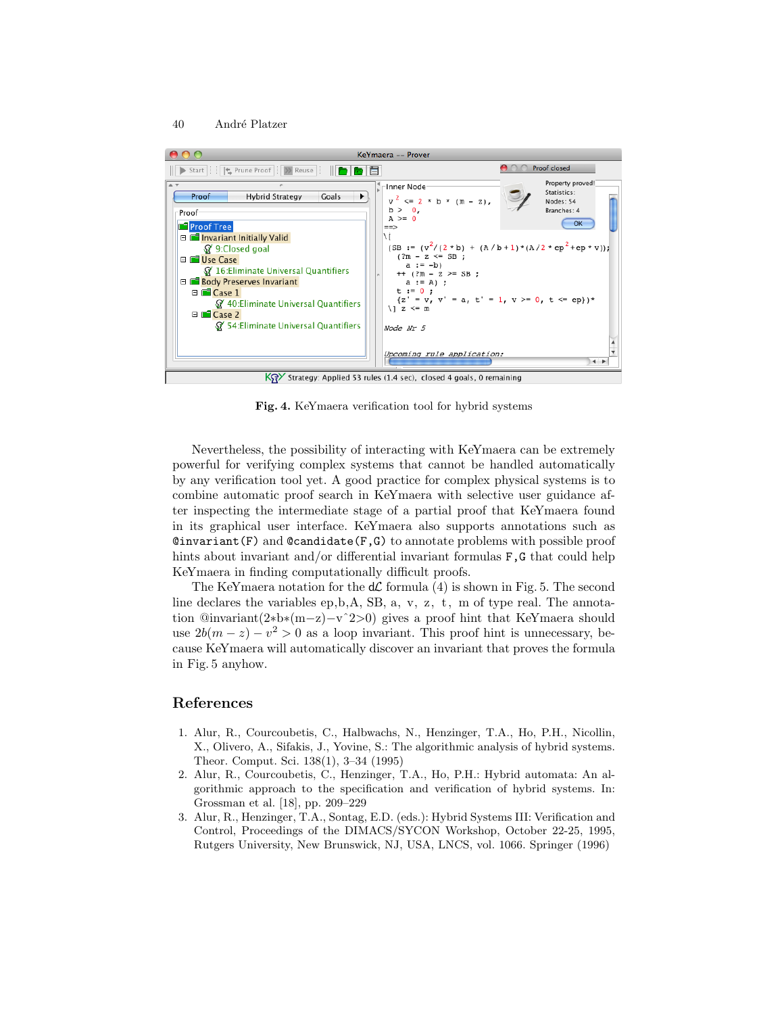

Fig. 4. KeYmaera verification tool for hybrid systems

Nevertheless, the possibility of interacting with KeYmaera can be extremely powerful for verifying complex systems that cannot be handled automatically by any verification tool yet. A good practice for complex physical systems is to combine automatic proof search in KeYmaera with selective user guidance after inspecting the intermediate stage of a partial proof that KeYmaera found in its graphical user interface. KeYmaera also supports annotations such as  $Qinvariant(F)$  and  $Qcandidate(F,G)$  to annotate problems with possible proof hints about invariant and/or differential invariant formulas **F**, G that could help KeYmaera in finding computationally difficult proofs.

The KeYmaera notation for the  $d\mathcal{L}$  formula (4) is shown in Fig. 5. The second line declares the variables ep,b,A, SB, a, v, z, t, m of type real. The annotation @invariant(2∗b∗(m−z)−vˆ2>0) gives a proof hint that KeYmaera should use  $2b(m-z) - v^2 > 0$  as a loop invariant. This proof hint is unnecessary, because KeYmaera will automatically discover an invariant that proves the formula in Fig. 5 anyhow.

## References

- 1. Alur, R., Courcoubetis, C., Halbwachs, N., Henzinger, T.A., Ho, P.H., Nicollin, X., Olivero, A., Sifakis, J., Yovine, S.: The algorithmic analysis of hybrid systems. Theor. Comput. Sci. 138(1), 3–34 (1995)
- 2. Alur, R., Courcoubetis, C., Henzinger, T.A., Ho, P.H.: Hybrid automata: An algorithmic approach to the specification and verification of hybrid systems. In: Grossman et al. [18], pp. 209–229
- 3. Alur, R., Henzinger, T.A., Sontag, E.D. (eds.): Hybrid Systems III: Verification and Control, Proceedings of the DIMACS/SYCON Workshop, October 22-25, 1995, Rutgers University, New Brunswick, NJ, USA, LNCS, vol. 1066. Springer (1996)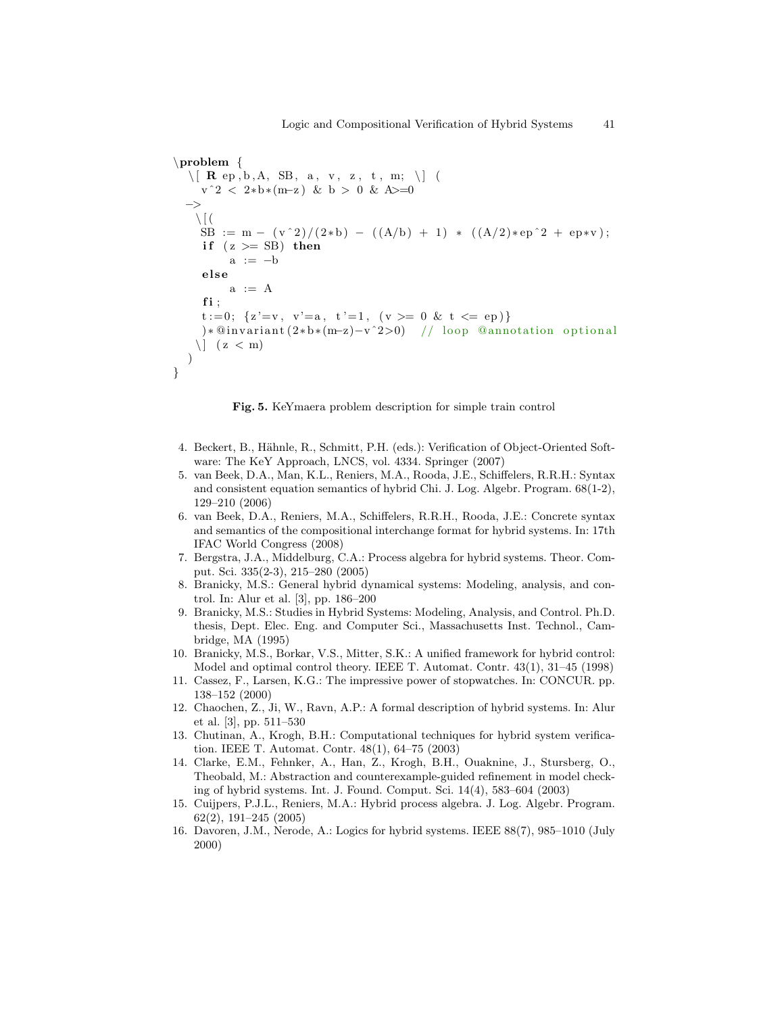```
\propto {
  \setminus [ R ep, b, A, SB, a, v, z, t, m; \setminus ] (
    v ˆ2 < 2∗b∗(m−z ) & b > 0 & A>=0
  −>
   \setminus [ (
    SB := m - (v^2)/(2*b) - ((A/b) + 1) * ((A/2)*ep^2 + ep*v);if (z \geq S) then
         a := -be l s e
          a := Afi;
     t := 0; \{z' = v, v' = a, t' = 1, (v > = 0 \& t \leq ep)\}\)* @invariant (2*b*(m-z)-v^2>0) // loop @annotation optional
    \setminus \big| (z < m))
}
```


- 4. Beckert, B., Hähnle, R., Schmitt, P.H. (eds.): Verification of Object-Oriented Software: The KeY Approach, LNCS, vol. 4334. Springer (2007)
- 5. van Beek, D.A., Man, K.L., Reniers, M.A., Rooda, J.E., Schiffelers, R.R.H.: Syntax and consistent equation semantics of hybrid Chi. J. Log. Algebr. Program. 68(1-2), 129–210 (2006)
- 6. van Beek, D.A., Reniers, M.A., Schiffelers, R.R.H., Rooda, J.E.: Concrete syntax and semantics of the compositional interchange format for hybrid systems. In: 17th IFAC World Congress (2008)
- 7. Bergstra, J.A., Middelburg, C.A.: Process algebra for hybrid systems. Theor. Comput. Sci. 335(2-3), 215–280 (2005)
- 8. Branicky, M.S.: General hybrid dynamical systems: Modeling, analysis, and control. In: Alur et al. [3], pp. 186–200
- 9. Branicky, M.S.: Studies in Hybrid Systems: Modeling, Analysis, and Control. Ph.D. thesis, Dept. Elec. Eng. and Computer Sci., Massachusetts Inst. Technol., Cambridge, MA (1995)
- 10. Branicky, M.S., Borkar, V.S., Mitter, S.K.: A unified framework for hybrid control: Model and optimal control theory. IEEE T. Automat. Contr. 43(1), 31–45 (1998)
- 11. Cassez, F., Larsen, K.G.: The impressive power of stopwatches. In: CONCUR. pp. 138–152 (2000)
- 12. Chaochen, Z., Ji, W., Ravn, A.P.: A formal description of hybrid systems. In: Alur et al. [3], pp. 511–530
- 13. Chutinan, A., Krogh, B.H.: Computational techniques for hybrid system verification. IEEE T. Automat. Contr. 48(1), 64–75 (2003)
- 14. Clarke, E.M., Fehnker, A., Han, Z., Krogh, B.H., Ouaknine, J., Stursberg, O., Theobald, M.: Abstraction and counterexample-guided refinement in model checking of hybrid systems. Int. J. Found. Comput. Sci. 14(4), 583–604 (2003)
- 15. Cuijpers, P.J.L., Reniers, M.A.: Hybrid process algebra. J. Log. Algebr. Program. 62(2), 191–245 (2005)
- 16. Davoren, J.M., Nerode, A.: Logics for hybrid systems. IEEE 88(7), 985–1010 (July 2000)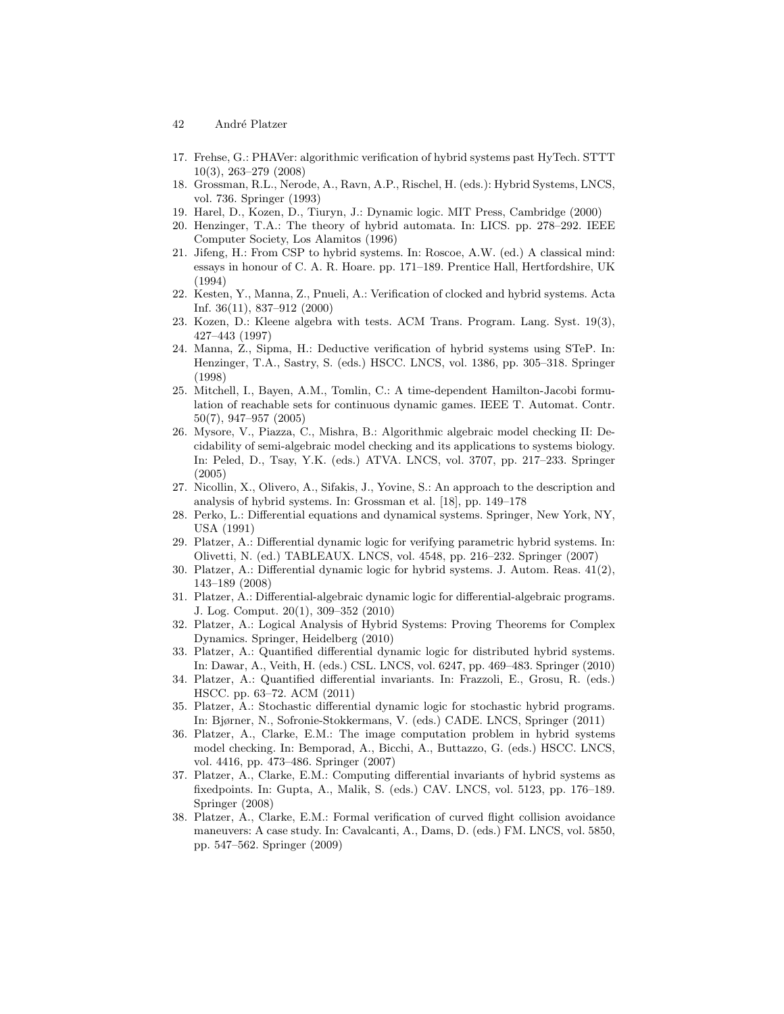- 42 André Platzer
- 17. Frehse, G.: PHAVer: algorithmic verification of hybrid systems past HyTech. STTT 10(3), 263–279 (2008)
- 18. Grossman, R.L., Nerode, A., Ravn, A.P., Rischel, H. (eds.): Hybrid Systems, LNCS, vol. 736. Springer (1993)
- 19. Harel, D., Kozen, D., Tiuryn, J.: Dynamic logic. MIT Press, Cambridge (2000)
- 20. Henzinger, T.A.: The theory of hybrid automata. In: LICS. pp. 278–292. IEEE Computer Society, Los Alamitos (1996)
- 21. Jifeng, H.: From CSP to hybrid systems. In: Roscoe, A.W. (ed.) A classical mind: essays in honour of C. A. R. Hoare. pp. 171–189. Prentice Hall, Hertfordshire, UK (1994)
- 22. Kesten, Y., Manna, Z., Pnueli, A.: Verification of clocked and hybrid systems. Acta Inf. 36(11), 837–912 (2000)
- 23. Kozen, D.: Kleene algebra with tests. ACM Trans. Program. Lang. Syst. 19(3), 427–443 (1997)
- 24. Manna, Z., Sipma, H.: Deductive verification of hybrid systems using STeP. In: Henzinger, T.A., Sastry, S. (eds.) HSCC. LNCS, vol. 1386, pp. 305–318. Springer (1998)
- 25. Mitchell, I., Bayen, A.M., Tomlin, C.: A time-dependent Hamilton-Jacobi formulation of reachable sets for continuous dynamic games. IEEE T. Automat. Contr. 50(7), 947–957 (2005)
- 26. Mysore, V., Piazza, C., Mishra, B.: Algorithmic algebraic model checking II: Decidability of semi-algebraic model checking and its applications to systems biology. In: Peled, D., Tsay, Y.K. (eds.) ATVA. LNCS, vol. 3707, pp. 217–233. Springer (2005)
- 27. Nicollin, X., Olivero, A., Sifakis, J., Yovine, S.: An approach to the description and analysis of hybrid systems. In: Grossman et al. [18], pp. 149–178
- 28. Perko, L.: Differential equations and dynamical systems. Springer, New York, NY, USA (1991)
- 29. Platzer, A.: Differential dynamic logic for verifying parametric hybrid systems. In: Olivetti, N. (ed.) TABLEAUX. LNCS, vol. 4548, pp. 216–232. Springer (2007)
- 30. Platzer, A.: Differential dynamic logic for hybrid systems. J. Autom. Reas. 41(2), 143–189 (2008)
- 31. Platzer, A.: Differential-algebraic dynamic logic for differential-algebraic programs. J. Log. Comput. 20(1), 309–352 (2010)
- 32. Platzer, A.: Logical Analysis of Hybrid Systems: Proving Theorems for Complex Dynamics. Springer, Heidelberg (2010)
- 33. Platzer, A.: Quantified differential dynamic logic for distributed hybrid systems. In: Dawar, A., Veith, H. (eds.) CSL. LNCS, vol. 6247, pp. 469–483. Springer (2010)
- 34. Platzer, A.: Quantified differential invariants. In: Frazzoli, E., Grosu, R. (eds.) HSCC. pp. 63–72. ACM (2011)
- 35. Platzer, A.: Stochastic differential dynamic logic for stochastic hybrid programs. In: Bjørner, N., Sofronie-Stokkermans, V. (eds.) CADE. LNCS, Springer (2011)
- 36. Platzer, A., Clarke, E.M.: The image computation problem in hybrid systems model checking. In: Bemporad, A., Bicchi, A., Buttazzo, G. (eds.) HSCC. LNCS, vol. 4416, pp. 473–486. Springer (2007)
- 37. Platzer, A., Clarke, E.M.: Computing differential invariants of hybrid systems as fixedpoints. In: Gupta, A., Malik, S. (eds.) CAV. LNCS, vol. 5123, pp. 176–189. Springer (2008)
- 38. Platzer, A., Clarke, E.M.: Formal verification of curved flight collision avoidance maneuvers: A case study. In: Cavalcanti, A., Dams, D. (eds.) FM. LNCS, vol. 5850, pp. 547–562. Springer (2009)